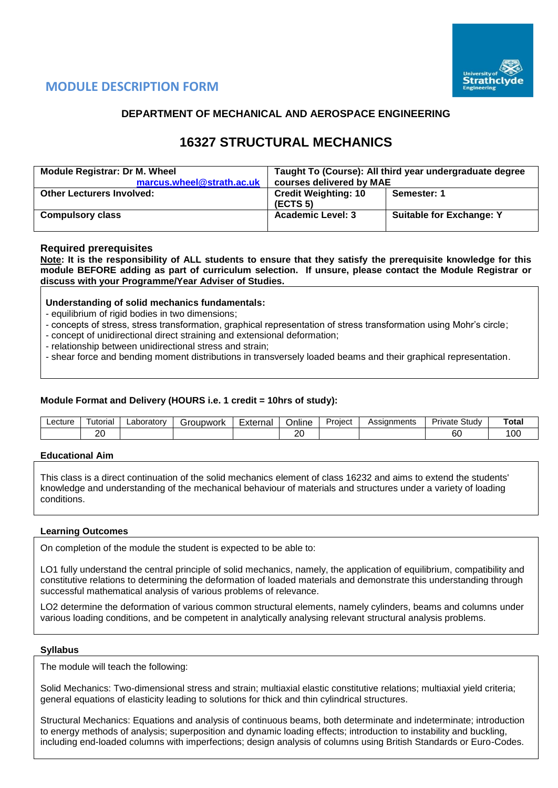

## **MODULE DESCRIPTION FORM**

## **DEPARTMENT OF MECHANICAL AND AEROSPACE ENGINEERING**

# **16327 STRUCTURAL MECHANICS**

| <b>Module Registrar: Dr M. Wheel</b><br>marcus.wheel@strath.ac.uk | Taught To (Course): All third year undergraduate degree<br>courses delivered by MAE |                                 |  |  |  |  |
|-------------------------------------------------------------------|-------------------------------------------------------------------------------------|---------------------------------|--|--|--|--|
| <b>Other Lecturers Involved:</b>                                  | <b>Credit Weighting: 10</b><br>(ECTS 5)                                             | Semester: 1                     |  |  |  |  |
| <b>Compulsory class</b>                                           | <b>Academic Level: 3</b>                                                            | <b>Suitable for Exchange: Y</b> |  |  |  |  |

### **Required prerequisites**

**Note: It is the responsibility of ALL students to ensure that they satisfy the prerequisite knowledge for this module BEFORE adding as part of curriculum selection. If unsure, please contact the Module Registrar or discuss with your Programme/Year Adviser of Studies.**

### **Understanding of solid mechanics fundamentals:**

- equilibrium of rigid bodies in two dimensions;
- concepts of stress, stress transformation, graphical representation of stress transformation using Mohr's circle;
- concept of unidirectional direct straining and extensional deformation;
- relationship between unidirectional stress and strain;
- shear force and bending moment distributions in transversely loaded beams and their graphical representation.

### **Module Format and Delivery (HOURS i.e. 1 credit = 10hrs of study):**

| ∟ecture | utoria        | ∟aborator∨ | `roupwork | $\overline{\phantom{0}}$<br>External | <br>Online   | -<br>Project | Assianments | Study<br>Private | Total          |
|---------|---------------|------------|-----------|--------------------------------------|--------------|--------------|-------------|------------------|----------------|
|         | ົ<br><u>.</u> |            |           |                                      | $\sim$<br>∠∪ |              |             | ~~<br>юU         | <sub>0</sub> C |

#### **Educational Aim**

This class is a direct continuation of the solid mechanics element of class 16232 and aims to extend the students' knowledge and understanding of the mechanical behaviour of materials and structures under a variety of loading conditions.

#### **Learning Outcomes**

On completion of the module the student is expected to be able to:

LO1 fully understand the central principle of solid mechanics, namely, the application of equilibrium, compatibility and constitutive relations to determining the deformation of loaded materials and demonstrate this understanding through successful mathematical analysis of various problems of relevance.

LO2 determine the deformation of various common structural elements, namely cylinders, beams and columns under various loading conditions, and be competent in analytically analysing relevant structural analysis problems.

#### **Syllabus**

The module will teach the following:

Solid Mechanics: Two-dimensional stress and strain; multiaxial elastic constitutive relations; multiaxial yield criteria; general equations of elasticity leading to solutions for thick and thin cylindrical structures.

Structural Mechanics: Equations and analysis of continuous beams, both determinate and indeterminate; introduction to energy methods of analysis; superposition and dynamic loading effects; introduction to instability and buckling, including end-loaded columns with imperfections; design analysis of columns using British Standards or Euro-Codes.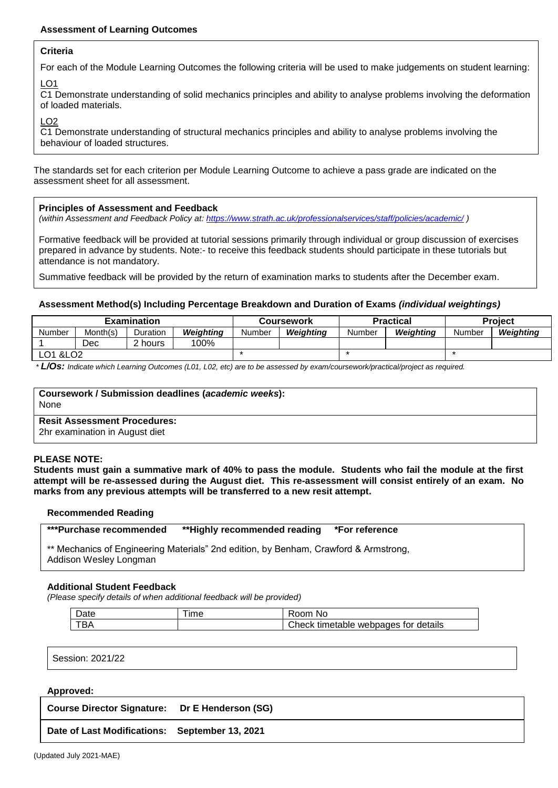### **Assessment of Learning Outcomes**

#### **Criteria**

For each of the Module Learning Outcomes the following criteria will be used to make judgements on student learning:

 $LO1$ 

C1 Demonstrate understanding of solid mechanics principles and ability to analyse problems involving the deformation of loaded materials.

LO2

C1 Demonstrate understanding of structural mechanics principles and ability to analyse problems involving the behaviour of loaded structures.

The standards set for each criterion per Module Learning Outcome to achieve a pass grade are indicated on the assessment sheet for all assessment.

#### **Principles of Assessment and Feedback**

*(within Assessment and Feedback Policy at: <https://www.strath.ac.uk/professionalservices/staff/policies/academic/> )*

Formative feedback will be provided at tutorial sessions primarily through individual or group discussion of exercises prepared in advance by students. Note:- to receive this feedback students should participate in these tutorials but attendance is not mandatory.

Summative feedback will be provided by the return of examination marks to students after the December exam.

#### **Assessment Method(s) Including Percentage Breakdown and Duration of Exams** *(individual weightings)*

|                       |          | <b>Examination</b> |                  |        | Coursework |        | <b>Practical</b> | <b>Project</b> |           |  |
|-----------------------|----------|--------------------|------------------|--------|------------|--------|------------------|----------------|-----------|--|
| Number                | Month(s) | Duration           | <b>Weighting</b> | Number | Weiahtina  | Number | Weiahtina        | Number         | Weiahtina |  |
|                       | Dec      | $\lambda$ hours    | 100%             |        |            |        |                  |                |           |  |
| LO1 & LO <sub>2</sub> |          |                    |                  |        |            |        |                  |                |           |  |

*\* L/Os: Indicate which Learning Outcomes (L01, L02, etc) are to be assessed by exam/coursework/practical/project as required.*

| Coursework / Submission deadlines (academic weeks):<br>None           |  |
|-----------------------------------------------------------------------|--|
| <b>Resit Assessment Procedures:</b><br>2hr examination in August diet |  |

#### **PLEASE NOTE:**

**Students must gain a summative mark of 40% to pass the module. Students who fail the module at the first attempt will be re-assessed during the August diet. This re-assessment will consist entirely of an exam. No marks from any previous attempts will be transferred to a new resit attempt.**

#### **Recommended Reading**

**\*\*\*Purchase recommended \*\*Highly recommended reading \*For reference** 

\*\* Mechanics of Engineering Materials" 2nd edition, by Benham, Crawford & Armstrong, Addison Wesley Longman

#### **Additional Student Feedback**

*(Please specify details of when additional feedback will be provided)*

| Date | ıme | No<br>रoom                              |
|------|-----|-----------------------------------------|
|      |     | Check<br>timetable webpages for details |

Session: 2021/22

#### **Approved:**

**Course Director Signature: Dr E Henderson (SG)**

**Date of Last Modifications: September 13, 2021**